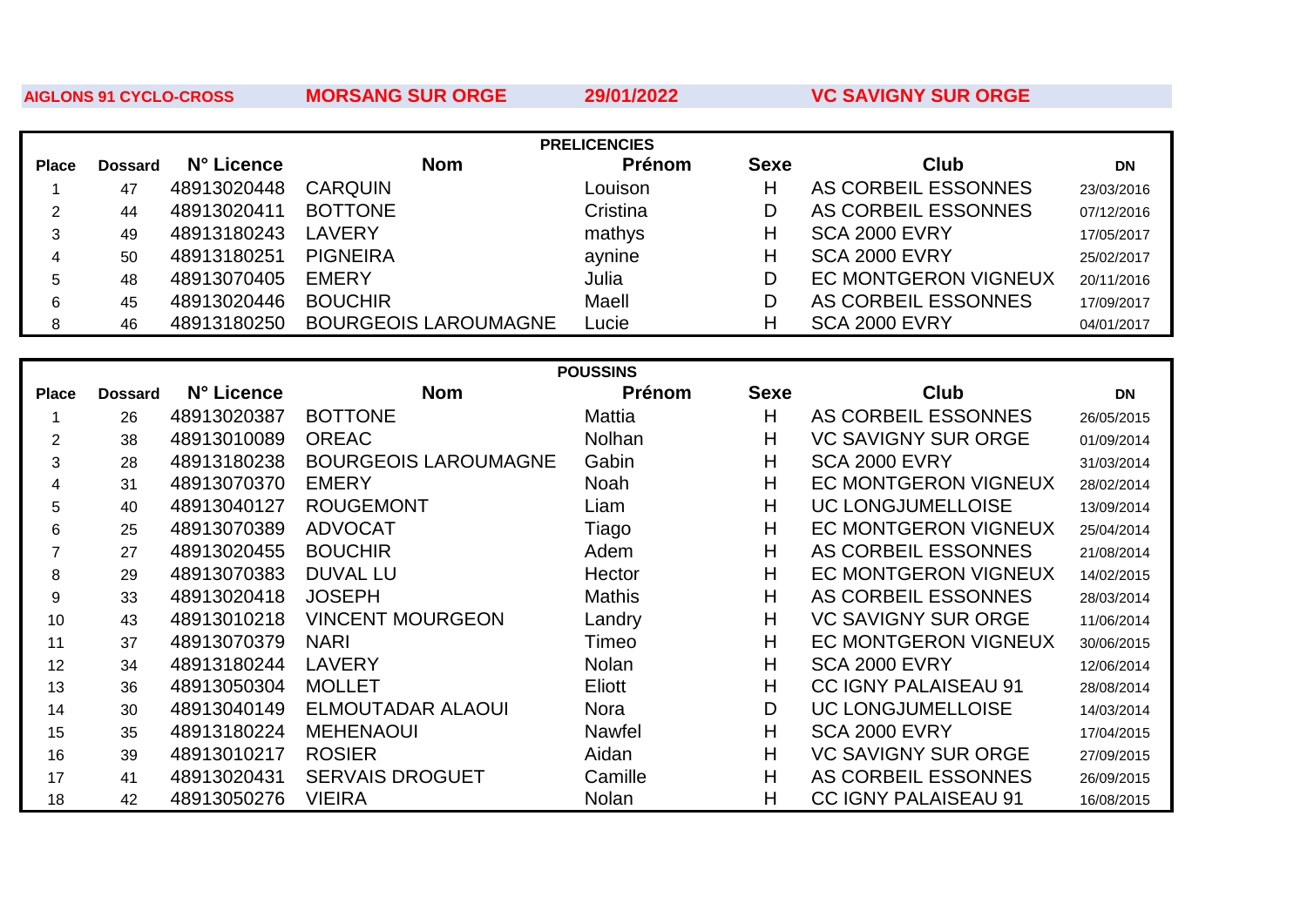**AIGLONS 91 CYCLO-CROSS** 

**MORSANG SUR ORGE** 

29/01/2022

**VC SAVIGNY SUR ORGE** 

| <b>PRELICENCIES</b> |                |             |                             |                 |             |                             |            |
|---------------------|----------------|-------------|-----------------------------|-----------------|-------------|-----------------------------|------------|
| <b>Place</b>        | <b>Dossard</b> | N° Licence  | <b>Nom</b>                  | Prénom          | <b>Sexe</b> | <b>Club</b>                 | <b>DN</b>  |
| 1                   | 47             | 48913020448 | <b>CARQUIN</b>              | Louison         | H           | AS CORBEIL ESSONNES         | 23/03/2016 |
| $\overline{2}$      | 44             | 48913020411 | <b>BOTTONE</b>              | Cristina        | D           | AS CORBEIL ESSONNES         | 07/12/2016 |
| 3                   | 49             | 48913180243 | <b>LAVERY</b>               | mathys          | H           | <b>SCA 2000 EVRY</b>        | 17/05/2017 |
| 4                   | 50             | 48913180251 | <b>PIGNEIRA</b>             | aynine          | H           | <b>SCA 2000 EVRY</b>        | 25/02/2017 |
| 5                   | 48             | 48913070405 | <b>EMERY</b>                | Julia           | D           | <b>EC MONTGERON VIGNEUX</b> | 20/11/2016 |
| 6                   | 45             | 48913020446 | <b>BOUCHIR</b>              | Maell           | D           | AS CORBEIL ESSONNES         | 17/09/2017 |
| 8                   | 46             | 48913180250 | <b>BOURGEOIS LAROUMAGNE</b> | Lucie           | H           | <b>SCA 2000 EVRY</b>        | 04/01/2017 |
|                     |                |             |                             |                 |             |                             |            |
|                     |                |             |                             | <b>POUSSINS</b> |             |                             |            |
| <b>Place</b>        | <b>Dossard</b> | N° Licence  | <b>Nom</b>                  | Prénom          | <b>Sexe</b> | <b>Club</b>                 | <b>DN</b>  |
| 1                   | 26             | 48913020387 | <b>BOTTONE</b>              | Mattia          | H           | AS CORBEIL ESSONNES         | 26/05/2015 |
| $\overline{2}$      | 38             | 48913010089 | <b>OREAC</b>                | Nolhan          | H           | <b>VC SAVIGNY SUR ORGE</b>  | 01/09/2014 |
| 3                   | 28             | 48913180238 | <b>BOURGEOIS LAROUMAGNE</b> | Gabin           | H           | <b>SCA 2000 EVRY</b>        | 31/03/2014 |
| 4                   | 31             | 48913070370 | <b>EMERY</b>                | Noah            | H           | <b>EC MONTGERON VIGNEUX</b> | 28/02/2014 |
| 5                   | 40             | 48913040127 | <b>ROUGEMONT</b>            | Liam            | H           | <b>UC LONGJUMELLOISE</b>    | 13/09/2014 |
| 6                   | 25             | 48913070389 | <b>ADVOCAT</b>              | Tiago           | H           | <b>EC MONTGERON VIGNEUX</b> | 25/04/2014 |
| $\overline{7}$      | 27             | 48913020455 | <b>BOUCHIR</b>              | Adem            | H           | AS CORBEIL ESSONNES         | 21/08/2014 |
| 8                   | 29             | 48913070383 | <b>DUVAL LU</b>             | Hector          | H           | <b>EC MONTGERON VIGNEUX</b> | 14/02/2015 |
| 9                   | 33             | 48913020418 | <b>JOSEPH</b>               | <b>Mathis</b>   | H           | AS CORBEIL ESSONNES         | 28/03/2014 |
| 10                  | 43             | 48913010218 | <b>VINCENT MOURGEON</b>     | Landry          | H           | <b>VC SAVIGNY SUR ORGE</b>  | 11/06/2014 |
| 11                  | 37             | 48913070379 | <b>NARI</b>                 | Timeo           | H           | <b>EC MONTGERON VIGNEUX</b> | 30/06/2015 |
| 12                  | 34             | 48913180244 | <b>LAVERY</b>               | Nolan           | H           | <b>SCA 2000 EVRY</b>        | 12/06/2014 |
| 13                  | 36             | 48913050304 | <b>MOLLET</b>               | Eliott          | H           | <b>CC IGNY PALAISEAU 91</b> | 28/08/2014 |
| 14                  | 30             | 48913040149 | <b>ELMOUTADAR ALAOUI</b>    | <b>Nora</b>     | D           | <b>UC LONGJUMELLOISE</b>    | 14/03/2014 |
| 15                  | 35             | 48913180224 | <b>MEHENAOUI</b>            | Nawfel          | H           | <b>SCA 2000 EVRY</b>        | 17/04/2015 |
| 16                  | 39             | 48913010217 | <b>ROSIER</b>               | Aidan           | H           | <b>VC SAVIGNY SUR ORGE</b>  | 27/09/2015 |
| 17                  | 41             | 48913020431 | <b>SERVAIS DROGUET</b>      | Camille         | H           | AS CORBEIL ESSONNES         | 26/09/2015 |
| 18                  | 42             | 48913050276 | <b>VIEIRA</b>               | Nolan           | Η           | <b>CC IGNY PALAISEAU 91</b> | 16/08/2015 |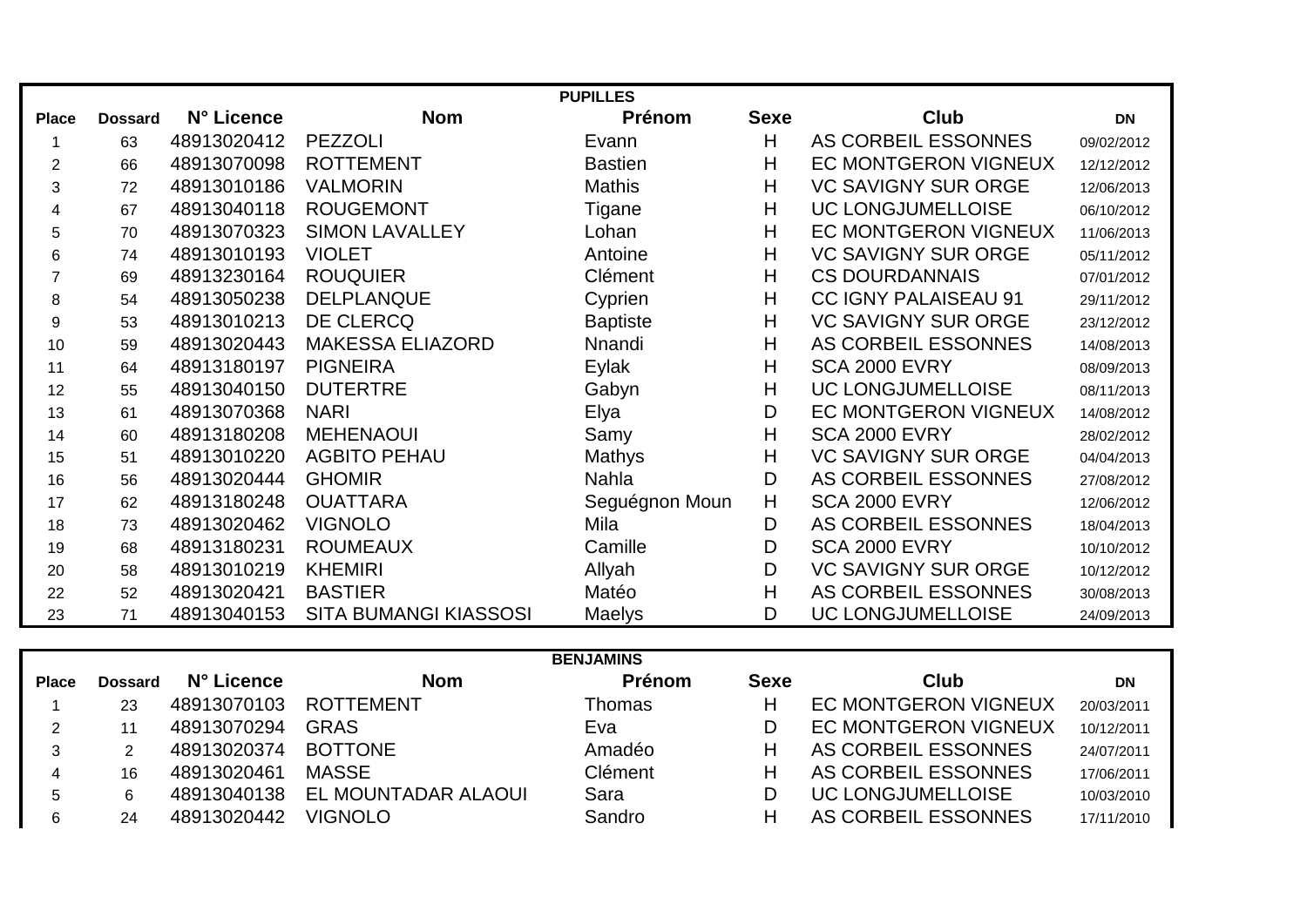| <b>PUPILLES</b> |                |             |                              |                 |             |                             |            |
|-----------------|----------------|-------------|------------------------------|-----------------|-------------|-----------------------------|------------|
| <b>Place</b>    | <b>Dossard</b> | N° Licence  | <b>Nom</b>                   | Prénom          | <b>Sexe</b> | <b>Club</b>                 | <b>DN</b>  |
|                 | 63             | 48913020412 | <b>PEZZOLI</b>               | Evann           | H           | AS CORBEIL ESSONNES         | 09/02/2012 |
| $\overline{2}$  | 66             | 48913070098 | <b>ROTTEMENT</b>             | <b>Bastien</b>  | H           | <b>EC MONTGERON VIGNEUX</b> | 12/12/2012 |
| 3               | 72             | 48913010186 | <b>VALMORIN</b>              | <b>Mathis</b>   | H           | <b>VC SAVIGNY SUR ORGE</b>  | 12/06/2013 |
| 4               | 67             | 48913040118 | <b>ROUGEMONT</b>             | Tigane          | H           | <b>UC LONGJUMELLOISE</b>    | 06/10/2012 |
| 5               | 70             | 48913070323 | <b>SIMON LAVALLEY</b>        | Lohan           | H           | <b>EC MONTGERON VIGNEUX</b> | 11/06/2013 |
| 6               | 74             | 48913010193 | <b>VIOLET</b>                | Antoine         | H           | <b>VC SAVIGNY SUR ORGE</b>  | 05/11/2012 |
| $\overline{7}$  | 69             | 48913230164 | <b>ROUQUIER</b>              | <b>Clément</b>  | H           | <b>CS DOURDANNAIS</b>       | 07/01/2012 |
| 8               | 54             | 48913050238 | <b>DELPLANQUE</b>            | Cyprien         | H           | <b>CC IGNY PALAISEAU 91</b> | 29/11/2012 |
| 9               | 53             | 48913010213 | <b>DE CLERCQ</b>             | <b>Baptiste</b> | H           | <b>VC SAVIGNY SUR ORGE</b>  | 23/12/2012 |
| 10              | 59             | 48913020443 | <b>MAKESSA ELIAZORD</b>      | Nnandi          | H           | AS CORBEIL ESSONNES         | 14/08/2013 |
| 11              | 64             | 48913180197 | <b>PIGNEIRA</b>              | Eylak           | H           | <b>SCA 2000 EVRY</b>        | 08/09/2013 |
| 12              | 55             | 48913040150 | <b>DUTERTRE</b>              | Gabyn           | H           | <b>UC LONGJUMELLOISE</b>    | 08/11/2013 |
| 13              | 61             | 48913070368 | <b>NARI</b>                  | Elya            | D           | <b>EC MONTGERON VIGNEUX</b> | 14/08/2012 |
| 14              | 60             | 48913180208 | <b>MEHENAOUI</b>             | Samy            | H           | <b>SCA 2000 EVRY</b>        | 28/02/2012 |
| 15              | 51             | 48913010220 | <b>AGBITO PEHAU</b>          | Mathys          | H           | <b>VC SAVIGNY SUR ORGE</b>  | 04/04/2013 |
| 16              | 56             | 48913020444 | <b>GHOMIR</b>                | <b>Nahla</b>    | D           | AS CORBEIL ESSONNES         | 27/08/2012 |
| 17              | 62             | 48913180248 | <b>OUATTARA</b>              | Seguégnon Moun  | H           | <b>SCA 2000 EVRY</b>        | 12/06/2012 |
| 18              | 73             | 48913020462 | <b>VIGNOLO</b>               | Mila            | D           | AS CORBEIL ESSONNES         | 18/04/2013 |
| 19              | 68             | 48913180231 | <b>ROUMEAUX</b>              | Camille         | D           | <b>SCA 2000 EVRY</b>        | 10/10/2012 |
| 20              | 58             | 48913010219 | <b>KHEMIRI</b>               | Allyah          | D           | <b>VC SAVIGNY SUR ORGE</b>  | 10/12/2012 |
| 22              | 52             | 48913020421 | <b>BASTIER</b>               | Matéo           | H           | AS CORBEIL ESSONNES         | 30/08/2013 |
| 23              | 71             | 48913040153 | <b>SITA BUMANGI KIASSOSI</b> | Maelys          | D           | UC LONGJUMELLOISE           | 24/09/2013 |

|              | <b>BENJAMINS</b> |             |                     |         |             |                             |            |
|--------------|------------------|-------------|---------------------|---------|-------------|-----------------------------|------------|
| <b>Place</b> | <b>Dossard</b>   | N° Licence  | <b>Nom</b>          | Prénom  | <b>Sexe</b> | Club                        | DN         |
|              | 23               | 48913070103 | <b>ROTTEMENT</b>    | Thomas  | н           | <b>EC MONTGERON VIGNEUX</b> | 20/03/2011 |
|              | 11               | 48913070294 | <b>GRAS</b>         | Eva     | D           | <b>EC MONTGERON VIGNEUX</b> | 10/12/2011 |
|              |                  | 48913020374 | <b>BOTTONE</b>      | Amadéo  | н           | AS CORBEIL ESSONNES         | 24/07/2011 |
|              | 16               | 48913020461 | <b>MASSE</b>        | Clément | н           | AS CORBEIL ESSONNES         | 17/06/2011 |
| 5            | 6                | 48913040138 | EL MOUNTADAR ALAOUI | Sara    | D           | <b>UC LONGJUMELLOISE</b>    | 10/03/2010 |
|              | 24               | 48913020442 | <b>VIGNOLO</b>      | Sandro  | н           | AS CORBEIL ESSONNES         | 17/11/2010 |